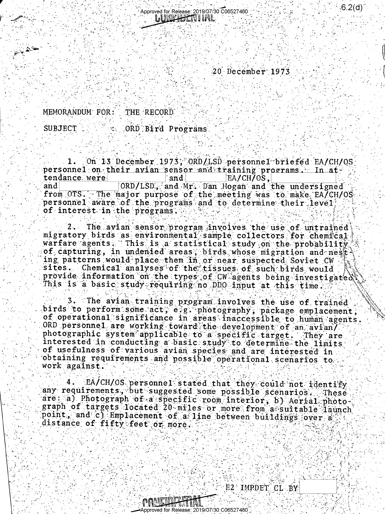$20$  December  $1973$ 

 $.6.2(d)$ 

MEMORANDUM FOR: THE RECORD

**SUBJECT** ORD Bird Programs

On 13 December 1973, ORD/LSD personnel briefed EA/CH/OS  $1.$ personnel on their avian sensor and training programs. In attendance were and EA/CH/OS, ORD/LSD. and Mr. Dan Hogan and the undersigned and from OTS. The major purpose of the meeting was to make EA/CH/OS personnel aware of the programs and to determine their level. of interest in the programs.

 $2 - 1$ The avian sensor program involves the use of untrained migratory birds as environmental sample collectors for chemical warfare agents. This is a statistical study on the probability of capturing, in undenied areas, birds whose migration and nest ing patterns would place them in or near suspected Soviet CW sites. Chemical analyses of the tissues of such birds would provide information on the types of CW agents being investigated This is a basic study requiring no DDO input at this time.

3. The avian training program involves the use of trained birds to perform some act, e.g. photography, package emplacement of operational significance in areas inaccessible to human agents. ORD personnel are working toward the development of an avian/ photographic system applicable to a specific target. They are interested in conducting a basic study to determine the limits of usefulness of various avian species and are interested in obtaining requirements and possible operational scenarios to work against.

EA/CH/OS personnel stated that they could not identify any requirements, but suggested some possible scenarios. These are a) Photograph of a specific room interior, b) Aerial photograph of targets located 20 miles or more from a suitable launch point, and c) Emplacement of a line between buildings over a distance of fifty feet or more.

E2 IMPDET CL BY